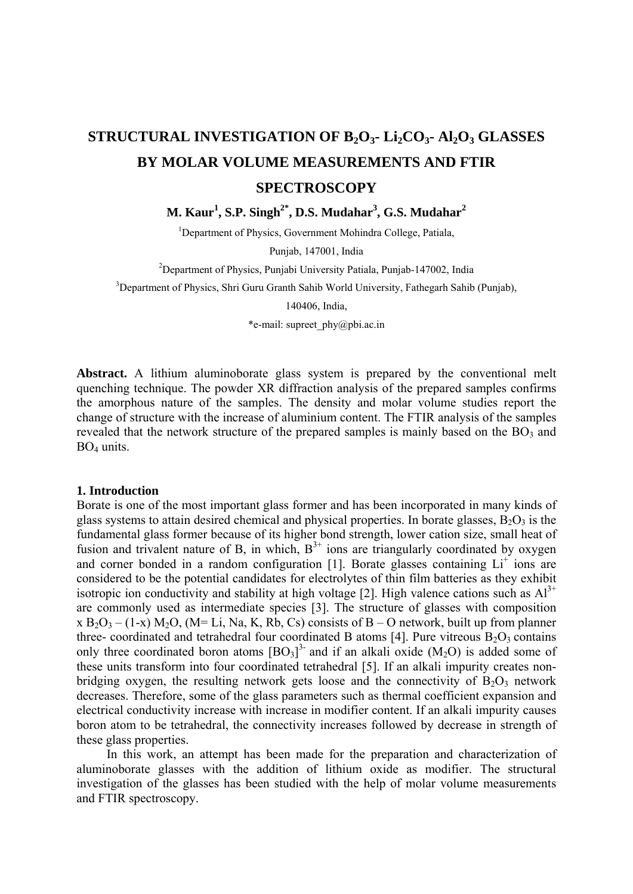## **STRUCTURAL INVESTIGATION OF B2O3- Li2CO3- Al2O3 GLASSES BY MOLAR VOLUME MEASUREMENTS AND FTIR SPECTROSCOPY**

 $M$ . Kaur<sup>1</sup>, S.P. Singh<sup>2\*</sup>, D.S. Mudahar<sup>3</sup>, G.S. Mudahar<sup>2</sup>

<sup>1</sup>Department of Physics, Government Mohindra College, Patiala,

Punjab, 147001, India

2 Department of Physics, Punjabi University Patiala, Punjab-147002, India

<sup>3</sup>Department of Physics, Shri Guru Granth Sahib World University, Fathegarh Sahib (Punjab),

140406, India,

\*e-mail: supreet\_phy@pbi.ac.in

**Abstract.** A lithium aluminoborate glass system is prepared by the conventional melt quenching technique. The powder XR diffraction analysis of the prepared samples confirms the amorphous nature of the samples. The density and molar volume studies report the change of structure with the increase of aluminium content. The FTIR analysis of the samples revealed that the network structure of the prepared samples is mainly based on the  $BO<sub>3</sub>$  and BO4 units.

## **1. Introduction**

Borate is one of the most important glass former and has been incorporated in many kinds of glass systems to attain desired chemical and physical properties. In borate glasses,  $B_2O_3$  is the fundamental glass former because of its higher bond strength, lower cation size, small heat of fusion and trivalent nature of B, in which,  $B^{3+}$  ions are triangularly coordinated by oxygen and corner bonded in a random configuration [1]. Borate glasses containing Li<sup>+</sup> ions are considered to be the potential candidates for electrolytes of thin film batteries as they exhibit isotropic ion conductivity and stability at high voltage [2]. High valence cations such as  $Al^{3+}$ are commonly used as intermediate species [3]. The structure of glasses with composition x  $B_2O_3 - (1-x) M_2O$ , (M= Li, Na, K, Rb, Cs) consists of B – O network, built up from planner three- coordinated and tetrahedral four coordinated B atoms [4]. Pure vitreous  $B_2O_3$  contains only three coordinated boron atoms  $[BO_3]^{3}$  and if an alkali oxide  $(M_2O)$  is added some of these units transform into four coordinated tetrahedral [5]. If an alkali impurity creates nonbridging oxygen, the resulting network gets loose and the connectivity of  $B_2O_3$  network decreases. Therefore, some of the glass parameters such as thermal coefficient expansion and electrical conductivity increase with increase in modifier content. If an alkali impurity causes boron atom to be tetrahedral, the connectivity increases followed by decrease in strength of these glass properties.

In this work, an attempt has been made for the preparation and characterization of aluminoborate glasses with the addition of lithium oxide as modifier. The structural investigation of the glasses has been studied with the help of molar volume measurements and FTIR spectroscopy.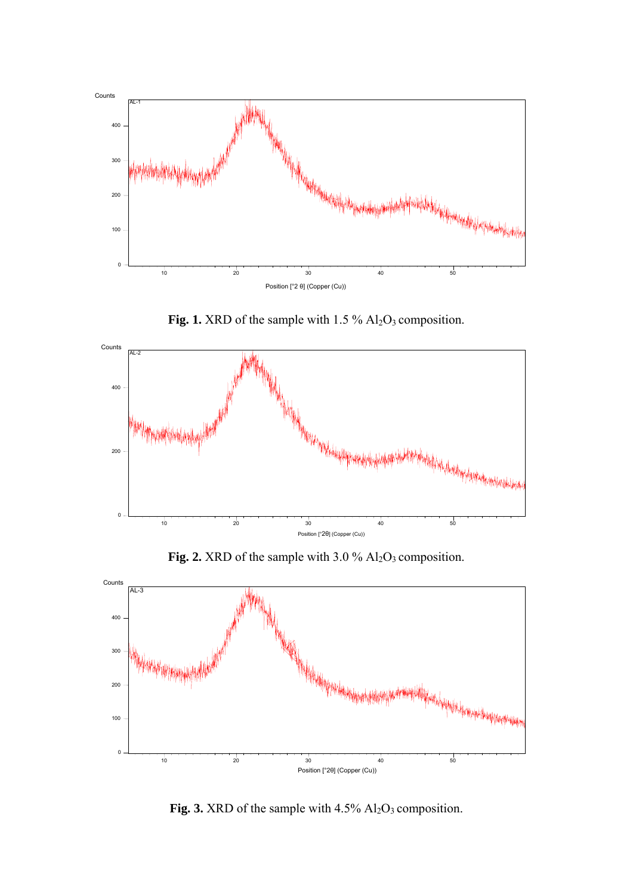

Fig. 1. XRD of the sample with 1.5 % Al<sub>2</sub>O<sub>3</sub> composition.



**Fig. 2.** XRD of the sample with 3.0 % Al<sub>2</sub>O<sub>3</sub> composition.



Fig. 3. XRD of the sample with 4.5% Al<sub>2</sub>O<sub>3</sub> composition.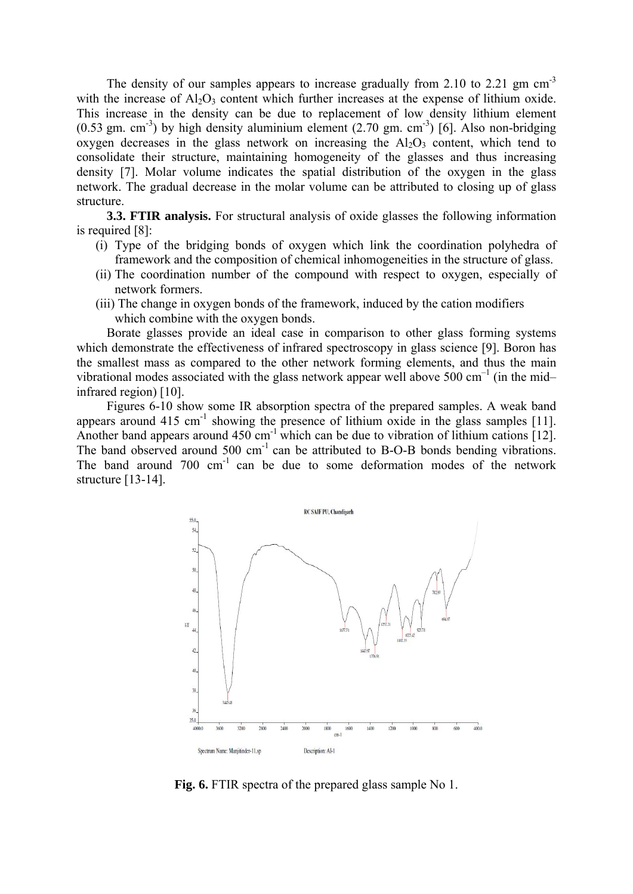The density of our samples appears to increase gradually from 2.10 to 2.21 gm cm<sup>-3</sup> with the increase of  $Al_2O_3$  content which further increases at the expense of lithium oxide. This increase in the density can be due to replacement of low density lithium element  $(0.53 \text{ gm. cm}^{-3})$  by high density aluminium element  $(2.70 \text{ gm. cm}^{-3})$  [6]. Also non-bridging oxygen decreases in the glass network on increasing the  $Al_2O_3$  content, which tend to consolidate their structure, maintaining homogeneity of the glasses and thus increasing density [7]. Molar volume indicates the spatial distribution of the oxygen in the glass network. The gradual decrease in the molar volume can be attributed to closing up of glass structure.

**3.3. FTIR analysis.** For structural analysis of oxide glasses the following information is required [8]:

- (i) Type of the bridging bonds of oxygen which link the coordination polyhedra of framework and the composition of chemical inhomogeneities in the structure of glass.
- (ii) The coordination number of the compound with respect to oxygen, especially of network formers.
- (iii) The change in oxygen bonds of the framework, induced by the cation modifiers which combine with the oxygen bonds.

Borate glasses provide an ideal case in comparison to other glass forming systems which demonstrate the effectiveness of infrared spectroscopy in glass science [9]. Boron has the smallest mass as compared to the other network forming elements, and thus the main vibrational modes associated with the glass network appear well above 500 cm<sup>-1</sup> (in the midinfrared region) [10].

Figures 6-10 show some IR absorption spectra of the prepared samples. A weak band appears around  $415 \text{ cm}^{-1}$  showing the presence of lithium oxide in the glass samples [11]. Another band appears around  $450 \text{ cm}^{-1}$  which can be due to vibration of lithium cations [12]. The band observed around 500 cm<sup>-1</sup> can be attributed to B-O-B bonds bending vibrations. The band around 700 cm<sup>-1</sup> can be due to some deformation modes of the network structure [13-14].



**Fig. 6.** FTIR spectra of the prepared glass sample No 1.

70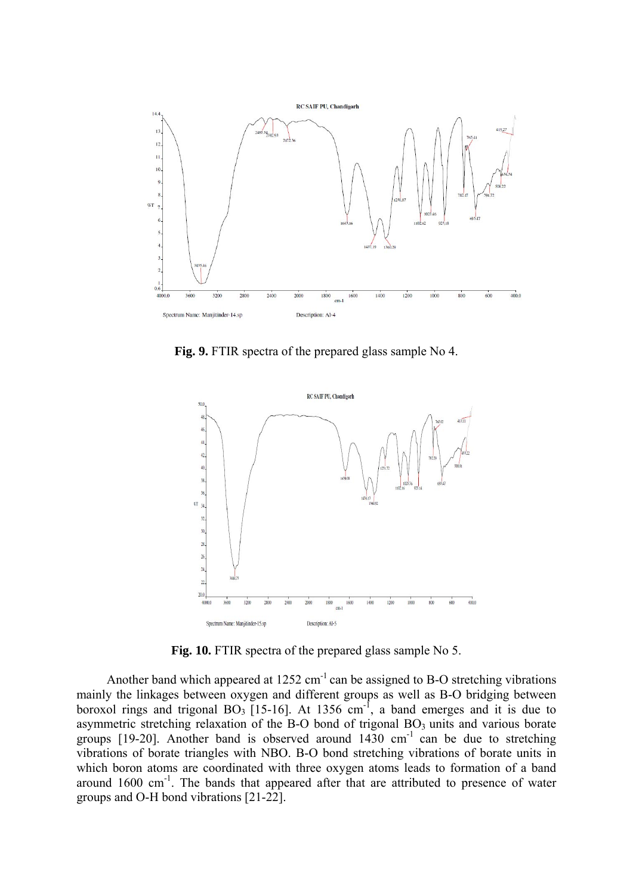

**Fig. 9.** FTIR spectra of the prepared glass sample No 4.



**Fig. 10.** FTIR spectra of the prepared glass sample No 5.

Another band which appeared at  $1252 \text{ cm}^{-1}$  can be assigned to B-O stretching vibrations mainly the linkages between oxygen and different groups as well as B-O bridging between boroxol rings and trigonal  $BO_3$  [15-16]. At 1356 cm<sup>-1</sup>, a band emerges and it is due to asymmetric stretching relaxation of the B-O bond of trigonal BO<sub>3</sub> units and various borate groups [19-20]. Another band is observed around  $1430 \text{ cm}^{-1}$  can be due to stretching vibrations of borate triangles with NBO. B-O bond stretching vibrations of borate units in which boron atoms are coordinated with three oxygen atoms leads to formation of a band around  $1600 \text{ cm}^{-1}$ . The bands that appeared after that are attributed to presence of water groups and O-H bond vibrations [21-22].